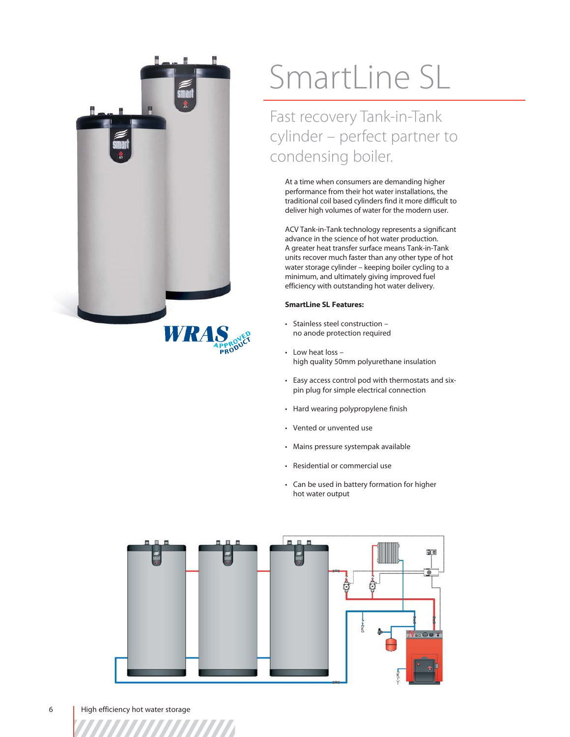

# SmartLine SL

Fast recovery Tank-in-Tank cylinder – perfect partner to condensing boiler.

At a time when consumers are demanding higher performance from their hot water installations, the traditional coil based cylinders find it more difficult to deliver high volumes of water for the modern user.

ACV Tank-in-Tank technology represents a significant advance in the science of hot water production. A greater heat transfer surface means Tank-in-Tank units recover much faster than any other type of hot water storage cylinder – keeping boiler cycling to a minimum, and ultimately giving improved fuel efficiency with outstanding hot water delivery.

# **SmartLine SL Features:**

- Stainless steel construction no anode protection required
- Low heat loss high quality 50mm polyurethane insulation
- Easy access control pod with thermostats and sixpin plug for simple electrical connection
- Hard wearing polypropylene finish
- Vented or unvented use
- Mains pressure systempak available
- Residential or commercial use
- Can be used in battery formation for higher hot water output